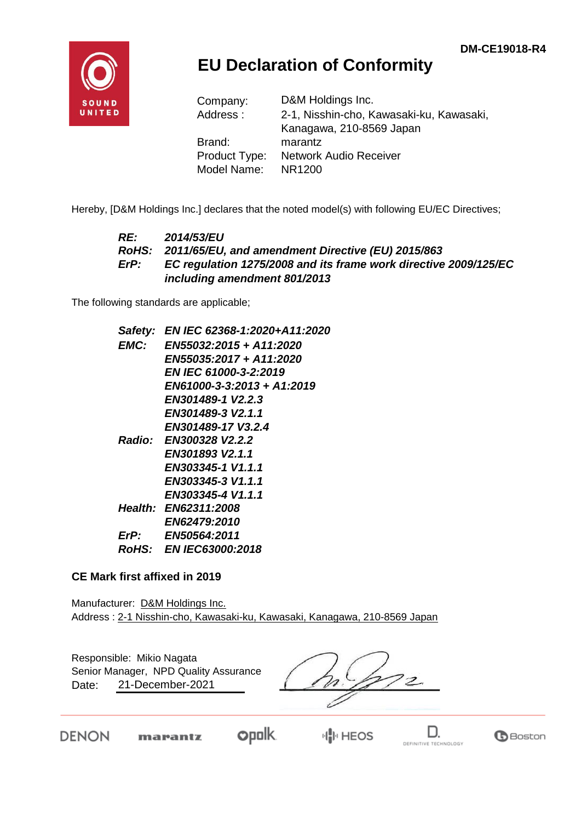

## **EU Declaration of Conformity**

| Company:      | D&M Holdings Inc.                        |
|---------------|------------------------------------------|
| Address:      | 2-1, Nisshin-cho, Kawasaki-ku, Kawasaki, |
|               | Kanagawa, 210-8569 Japan                 |
| Brand:        | marantz                                  |
| Product Type: | <b>Network Audio Receiver</b>            |
| Model Name:   | NR1200                                   |

Hereby, [D&M Holdings Inc.] declares that the noted model(s) with following EU/EC Directives;

#### *RE: 2014/53/EU RoHS: 2011/65/EU, and amendment Directive (EU) 2015/863 ErP: EC regulation 1275/2008 and its frame work directive 2009/125/EC including amendment 801/2013*

The following standards are applicable;

|      | Safety: EN IEC 62368-1:2020+A11:2020 |
|------|--------------------------------------|
| EMC: | EN55032:2015 + A11:2020              |
|      | EN55035:2017 + A11:2020              |
|      | <b>EN IEC 61000-3-2:2019</b>         |
|      | EN61000-3-3:2013 + A1:2019           |
|      | EN301489-1 V2.2.3                    |
|      | EN301489-3 V2.1.1                    |
|      | EN301489-17 V3.2.4                   |
|      | Radio: EN300328 V2.2.2               |
|      | EN301893 V2.1.1                      |
|      | EN303345-1 V1.1.1                    |
|      | EN303345-3 V1.1.1                    |
|      | EN303345-4 V1.1.1                    |
|      | <b>Health: EN62311:2008</b>          |
|      | <b>EN62479:2010</b>                  |
| ErP: | <b>EN50564:2011</b>                  |
|      | RoHS: EN IEC63000:2018               |
|      |                                      |

#### **CE Mark first affixed in 2019**

Manufacturer: D&M Holdings Inc. Address : 2-1 Nisshin-cho, Kawasaki-ku, Kawasaki, Kanagawa, 210-8569 Japan

Responsible: Mikio Nagata Date: 21-December-2021 Senior Manager, NPD Quality Assurance

 $72.$ 

DENON

**opolk** marantz